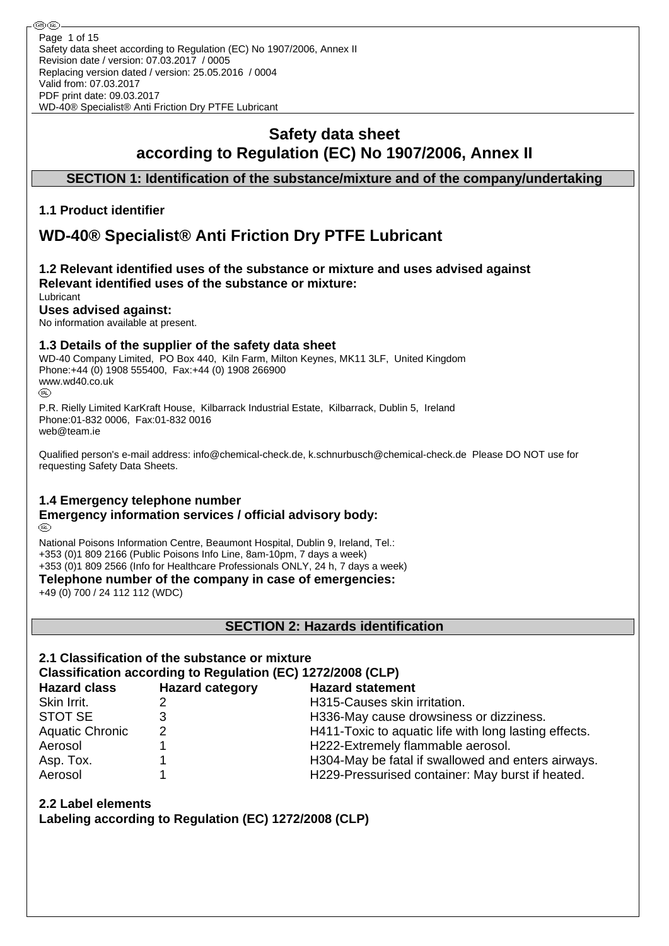# **Safety data sheet according to Regulation (EC) No 1907/2006, Annex II**

# **SECTION 1: Identification of the substance/mixture and of the company/undertaking**

## **1.1 Product identifier**

# **WD-40® Specialist® Anti Friction Dry PTFE Lubricant**

#### **1.2 Relevant identified uses of the substance or mixture and uses advised against Relevant identified uses of the substance or mixture:** Lubricant

# **Uses advised against:**

No information available at present.

## **1.3 Details of the supplier of the safety data sheet**

WD-40 Company Limited, PO Box 440, Kiln Farm, Milton Keynes, MK11 3LF, United Kingdom Phone:+44 (0) 1908 555400, Fax:+44 (0) 1908 266900 www.wd40.co.uk (RD)

P.R. Rielly Limited KarKraft House, Kilbarrack Industrial Estate, Kilbarrack, Dublin 5, Ireland Phone:01-832 0006, Fax:01-832 0016 web@team.ie

Qualified person's e-mail address: info@chemical-check.de, k.schnurbusch@chemical-check.de Please DO NOT use for requesting Safety Data Sheets.

## **1.4 Emergency telephone number**

#### **Emergency information services / official advisory body:** (RD)

National Poisons Information Centre, Beaumont Hospital, Dublin 9, Ireland, Tel.: +353 (0)1 809 2166 (Public Poisons Info Line, 8am-10pm, 7 days a week) +353 (0)1 809 2566 (Info for Healthcare Professionals ONLY, 24 h, 7 days a week)

**Telephone number of the company in case of emergencies:**

+49 (0) 700 / 24 112 112 (WDC)

**SECTION 2: Hazards identification**

# **2.1 Classification of the substance or mixture**

# **Classification according to Regulation (EC) 1272/2008 (CLP)**

| <b>Hazard class</b>    | <b>Hazard category</b> | <b>Hazard statement</b>                               |
|------------------------|------------------------|-------------------------------------------------------|
| Skin Irrit.            |                        | H315-Causes skin irritation.                          |
| <b>STOT SE</b>         |                        | H336-May cause drowsiness or dizziness.               |
| <b>Aquatic Chronic</b> | 2                      | H411-Toxic to aquatic life with long lasting effects. |
| Aerosol                |                        | H222-Extremely flammable aerosol.                     |
| Asp. Tox.              |                        | H304-May be fatal if swallowed and enters airways.    |
| Aerosol                |                        | H229-Pressurised container: May burst if heated.      |

## **2.2 Label elements**

**Labeling according to Regulation (EC) 1272/2008 (CLP)**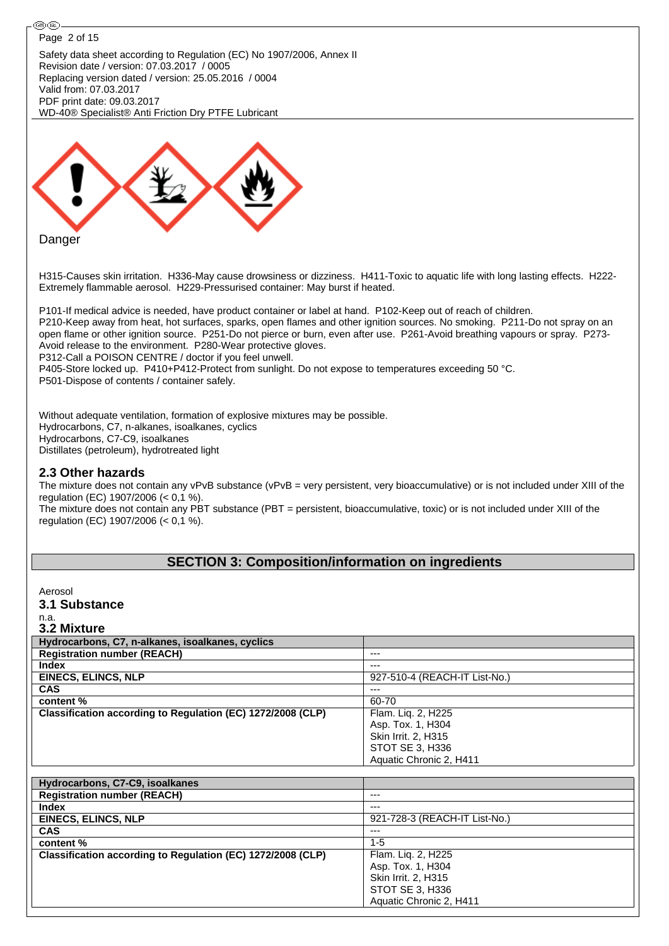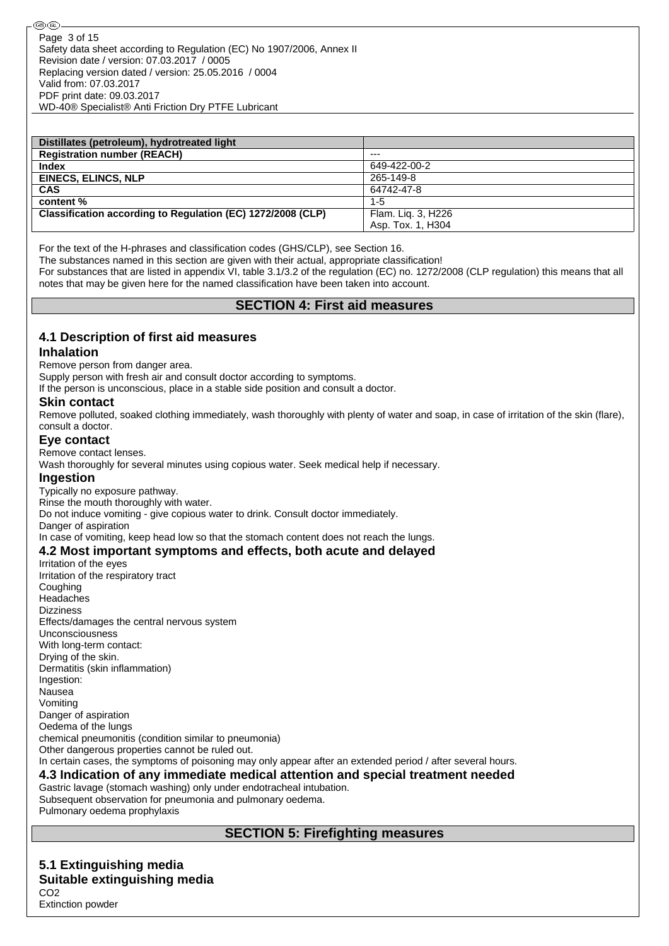| Distillates (petroleum), hydrotreated light                 |                    |
|-------------------------------------------------------------|--------------------|
| <b>Registration number (REACH)</b>                          | $---$              |
| <b>Index</b>                                                | 649-422-00-2       |
| <b>EINECS, ELINCS, NLP</b>                                  | 265-149-8          |
| <b>CAS</b>                                                  | 64742-47-8         |
| content %                                                   | $1 - 5$            |
| Classification according to Regulation (EC) 1272/2008 (CLP) | Flam. Lig. 3, H226 |
|                                                             | Asp. Tox. 1, H304  |

For the text of the H-phrases and classification codes (GHS/CLP), see Section 16.

The substances named in this section are given with their actual, appropriate classification!

For substances that are listed in appendix VI, table 3.1/3.2 of the regulation (EC) no. 1272/2008 (CLP regulation) this means that all notes that may be given here for the named classification have been taken into account.

### **SECTION 4: First aid measures**

# **4.1 Description of first aid measures**

#### **Inhalation**

Remove person from danger area.

Supply person with fresh air and consult doctor according to symptoms.

If the person is unconscious, place in a stable side position and consult a doctor.

### **Skin contact**

Remove polluted, soaked clothing immediately, wash thoroughly with plenty of water and soap, in case of irritation of the skin (flare), consult a doctor.

### **Eye contact**

Remove contact lenses.

Wash thoroughly for several minutes using copious water. Seek medical help if necessary.

### **Ingestion**

Typically no exposure pathway.

Rinse the mouth thoroughly with water.

Do not induce vomiting - give copious water to drink. Consult doctor immediately. Danger of aspiration

In case of vomiting, keep head low so that the stomach content does not reach the lungs.

### **4.2 Most important symptoms and effects, both acute and delayed**

Irritation of the eyes Irritation of the respiratory tract **Coughing Headaches Dizziness** Effects/damages the central nervous system Unconsciousness With long-term contact: Drying of the skin. Dermatitis (skin inflammation) Ingestion: Nausea Vomiting Danger of aspiration Oedema of the lungs chemical pneumonitis (condition similar to pneumonia) Other dangerous properties cannot be ruled out. In certain cases, the symptoms of poisoning may only appear after an extended period / after several hours. **4.3 Indication of any immediate medical attention and special treatment needed** Gastric lavage (stomach washing) only under endotracheal intubation.

Subsequent observation for pneumonia and pulmonary oedema. Pulmonary oedema prophylaxis

# **SECTION 5: Firefighting measures**

#### **5.1 Extinguishing media Suitable extinguishing media** CO2

Extinction powder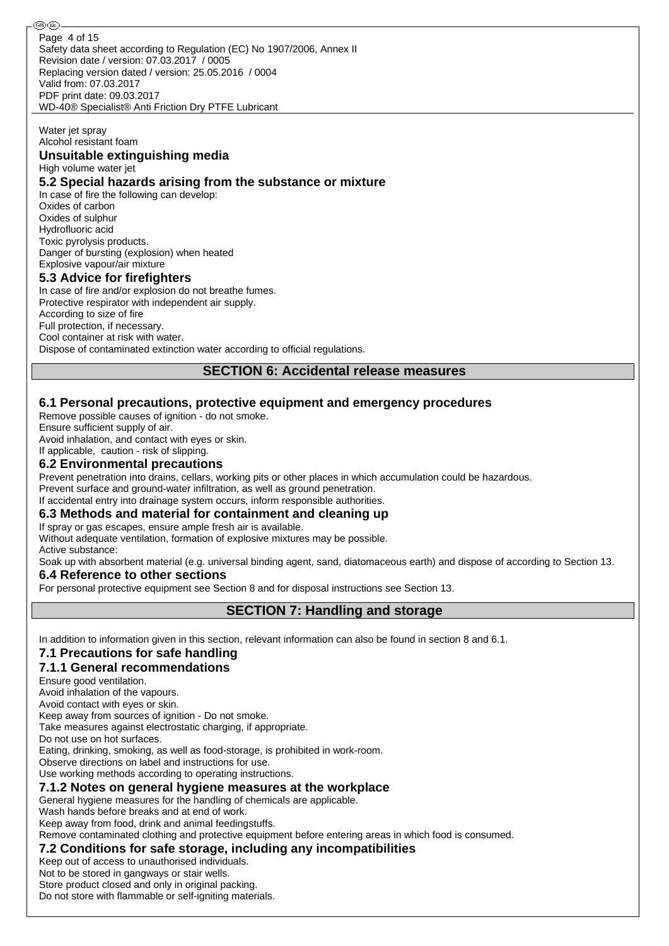Safety data sheet according to Regulation (EC) No 1907/2006, Annex II Revision date / version: 07.03.2017 / 0005 Replacing version dated / version: 25.05.2016 / 0004 Valid from: 07.03.2017 PDF print date: 09.03.2017 WD-40® Specialist® Anti Friction Dry PTFE Lubricant Page 4 of 15

# Water jet spray

Alcohol resistant foam **Unsuitable extinguishing media**

High volume water jet

### **5.2 Special hazards arising from the substance or mixture**

In case of fire the following can develop: Oxides of carbon Oxides of sulphur Hydrofluoric acid Toxic pyrolysis products. Danger of bursting (explosion) when heated Explosive vapour/air mixture

### **5.3 Advice for firefighters**

In case of fire and/or explosion do not breathe fumes. Protective respirator with independent air supply. According to size of fire Full protection, if necessary. Cool container at risk with water. Dispose of contaminated extinction water according to official regulations.

## **SECTION 6: Accidental release measures**

## **6.1 Personal precautions, protective equipment and emergency procedures**

Remove possible causes of ignition - do not smoke.

Ensure sufficient supply of air.

Avoid inhalation, and contact with eyes or skin.

# If applicable, caution - risk of slipping.

## **6.2 Environmental precautions**

Prevent penetration into drains, cellars, working pits or other places in which accumulation could be hazardous. Prevent surface and ground-water infiltration, as well as ground penetration.

If accidental entry into drainage system occurs, inform responsible authorities.

# **6.3 Methods and material for containment and cleaning up**

If spray or gas escapes, ensure ample fresh air is available.

Without adequate ventilation, formation of explosive mixtures may be possible. Active substance:

Soak up with absorbent material (e.g. universal binding agent, sand, diatomaceous earth) and dispose of according to Section 13.

# **6.4 Reference to other sections**

For personal protective equipment see Section 8 and for disposal instructions see Section 13.

**SECTION 7: Handling and storage**

In addition to information given in this section, relevant information can also be found in section 8 and 6.1.

# **7.1 Precautions for safe handling**

# **7.1.1 General recommendations**

Ensure good ventilation.

Avoid inhalation of the vapours.

Avoid contact with eyes or skin.

Keep away from sources of ignition - Do not smoke.

Take measures against electrostatic charging, if appropriate.

Do not use on hot surfaces.

Eating, drinking, smoking, as well as food-storage, is prohibited in work-room.

Observe directions on label and instructions for use.

Use working methods according to operating instructions.

# **7.1.2 Notes on general hygiene measures at the workplace**

General hygiene measures for the handling of chemicals are applicable.

Wash hands before breaks and at end of work.

Keep away from food, drink and animal feedingstuffs.

Remove contaminated clothing and protective equipment before entering areas in which food is consumed.

# **7.2 Conditions for safe storage, including any incompatibilities**

Keep out of access to unauthorised individuals.

Not to be stored in gangways or stair wells.

Store product closed and only in original packing.

Do not store with flammable or self-igniting materials.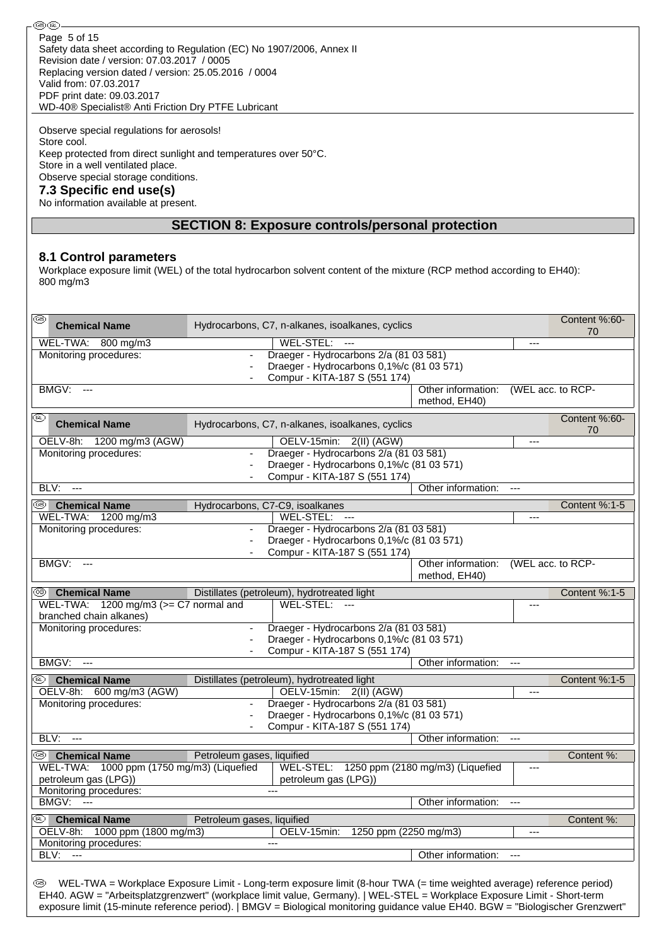**®®** Page 5 of 15Safety data sheet according to Regulation (EC) No 1907/2006, Annex II Revision date / version: 07.03.2017 / 0005 Replacing version dated / version: 25.05.2016 / 0004 Valid from: 07.03.2017 PDF print date: 09.03.2017 WD-40® Specialist® Anti Friction Dry PTFE Lubricant

Observe special regulations for aerosols! Store cool. Keep protected from direct sunlight and temperatures over 50°C. Store in a well ventilated place. Observe special storage conditions. **7.3 Specific end use(s)**

#### No information available at present.

### **SECTION 8: Exposure controls/personal protection**

#### **8.1 Control parameters**

Workplace exposure limit (WEL) of the total hydrocarbon solvent content of the mixture (RCP method according to EH40): 800 mg/m3

| 0    | <b>Chemical Name</b>                          |                            | Hydrocarbons, C7, n-alkanes, isoalkanes, cyclics                                                                                                                                                                                                                                                                                                                                     |                                     |                   | Content %:60-<br>70 |
|------|-----------------------------------------------|----------------------------|--------------------------------------------------------------------------------------------------------------------------------------------------------------------------------------------------------------------------------------------------------------------------------------------------------------------------------------------------------------------------------------|-------------------------------------|-------------------|---------------------|
|      | WEL-TWA: 800 mg/m3                            |                            | WEL-STEL:                                                                                                                                                                                                                                                                                                                                                                            |                                     | ---               |                     |
|      | Monitoring procedures:                        |                            | Draeger - Hydrocarbons 2/a (81 03 581)<br>Draeger - Hydrocarbons 0,1%/c (81 03 571)<br>Compur - KITA-187 S (551 174)                                                                                                                                                                                                                                                                 |                                     |                   |                     |
|      | <b>BMGV: ---</b>                              |                            |                                                                                                                                                                                                                                                                                                                                                                                      | Other information:<br>method, EH40) | (WEL acc. to RCP- |                     |
| ⅏    | <b>Chemical Name</b>                          |                            | Hydrocarbons, C7, n-alkanes, isoalkanes, cyclics                                                                                                                                                                                                                                                                                                                                     |                                     |                   | Content %:60-<br>70 |
|      | OELV-8h: 1200 mg/m3 (AGW)                     |                            | OELV-15min: 2(II) (AGW)                                                                                                                                                                                                                                                                                                                                                              |                                     | ---               |                     |
|      | Monitoring procedures:                        |                            | Draeger - Hydrocarbons 2/a (81 03 581)                                                                                                                                                                                                                                                                                                                                               |                                     |                   |                     |
|      |                                               |                            | Draeger - Hydrocarbons 0,1%/c (81 03 571)                                                                                                                                                                                                                                                                                                                                            |                                     |                   |                     |
| BLV: | $--$                                          |                            | Compur - KITA-187 S (551 174)                                                                                                                                                                                                                                                                                                                                                        | Other information:                  | ---               |                     |
|      |                                               |                            |                                                                                                                                                                                                                                                                                                                                                                                      |                                     |                   |                     |
| ⊛    | <b>Chemical Name</b>                          |                            | Hydrocarbons, C7-C9, isoalkanes                                                                                                                                                                                                                                                                                                                                                      |                                     |                   | Content %:1-5       |
|      | WEL-TWA: 1200 mg/m3<br>Monitoring procedures: |                            | WEL-STEL:<br>- ---<br>Draeger - Hydrocarbons 2/a (81 03 581)                                                                                                                                                                                                                                                                                                                         |                                     | ---               |                     |
|      |                                               |                            | Draeger - Hydrocarbons 0,1%/c (81 03 571)                                                                                                                                                                                                                                                                                                                                            |                                     |                   |                     |
|      |                                               |                            | Compur - KITA-187 S (551 174)                                                                                                                                                                                                                                                                                                                                                        |                                     |                   |                     |
|      | BMGV:<br>$---$                                |                            |                                                                                                                                                                                                                                                                                                                                                                                      | Other information:<br>method, EH40) | (WEL acc. to RCP- |                     |
| (GB) | <b>Chemical Name</b>                          |                            | Distillates (petroleum), hydrotreated light                                                                                                                                                                                                                                                                                                                                          |                                     |                   | Content %:1-5       |
|      | WEL-TWA: $1200$ mg/m3 ( $>=$ C7 normal and    |                            | WEL-STEL:<br>- ---                                                                                                                                                                                                                                                                                                                                                                   |                                     | ---               |                     |
|      | branched chain alkanes)                       |                            |                                                                                                                                                                                                                                                                                                                                                                                      |                                     |                   |                     |
|      | Monitoring procedures:                        | $\blacksquare$             | Draeger - Hydrocarbons 2/a (81 03 581)                                                                                                                                                                                                                                                                                                                                               |                                     |                   |                     |
|      |                                               |                            | Draeger - Hydrocarbons 0,1%/c (81 03 571)                                                                                                                                                                                                                                                                                                                                            |                                     |                   |                     |
|      |                                               |                            | Compur - KITA-187 S (551 174)                                                                                                                                                                                                                                                                                                                                                        |                                     |                   |                     |
|      | BMGV:<br>$\overline{a}$                       |                            |                                                                                                                                                                                                                                                                                                                                                                                      | Other information:                  | $\overline{a}$    |                     |
| ⅏    | <b>Chemical Name</b>                          |                            | Distillates (petroleum), hydrotreated light                                                                                                                                                                                                                                                                                                                                          |                                     |                   | Content %:1-5       |
|      | OELV-8h: 600 mg/m3 (AGW)                      |                            | OELV-15min: 2(II) (AGW)                                                                                                                                                                                                                                                                                                                                                              |                                     | ---               |                     |
|      | Monitoring procedures:                        |                            | Draeger - Hydrocarbons 2/a (81 03 581)                                                                                                                                                                                                                                                                                                                                               |                                     |                   |                     |
|      |                                               |                            | Draeger - Hydrocarbons 0,1%/c (81 03 571)                                                                                                                                                                                                                                                                                                                                            |                                     |                   |                     |
| BLV: | $---$                                         |                            | Compur - KITA-187 S (551 174)                                                                                                                                                                                                                                                                                                                                                        | Other information:                  |                   |                     |
|      |                                               |                            |                                                                                                                                                                                                                                                                                                                                                                                      |                                     |                   |                     |
| ©Đ   | <b>Chemical Name</b>                          | Petroleum gases, liquified |                                                                                                                                                                                                                                                                                                                                                                                      |                                     |                   | Content %:          |
|      | WEL-TWA: 1000 ppm (1750 mg/m3) (Liquefied     |                            | WEL-STEL: 1250 ppm (2180 mg/m3) (Liquefied                                                                                                                                                                                                                                                                                                                                           |                                     | ---               |                     |
|      | petroleum gas (LPG))                          |                            | petroleum gas (LPG))                                                                                                                                                                                                                                                                                                                                                                 |                                     |                   |                     |
|      | Monitoring procedures:<br><b>BMGV: ---</b>    |                            |                                                                                                                                                                                                                                                                                                                                                                                      | Other information:                  |                   |                     |
|      |                                               |                            |                                                                                                                                                                                                                                                                                                                                                                                      |                                     | ---               |                     |
|      | <sup>®</sup> Chemical Name                    | Petroleum gases, liquified |                                                                                                                                                                                                                                                                                                                                                                                      |                                     |                   | Content %:          |
|      | 1000 ppm (1800 mg/m3)<br>OELV-8h:             |                            | 1250 ppm (2250 mg/m3)<br>OELV-15min:                                                                                                                                                                                                                                                                                                                                                 |                                     | ---               |                     |
| BLV: | Monitoring procedures:<br>$\sim$              |                            | $---$                                                                                                                                                                                                                                                                                                                                                                                |                                     |                   |                     |
|      |                                               |                            |                                                                                                                                                                                                                                                                                                                                                                                      | Other information:                  | ---               |                     |
| (GB) |                                               |                            | WEL-TWA = Workplace Exposure Limit - Long-term exposure limit (8-hour TWA (= time weighted average) reference period)<br>EH40. AGW = "Arbeitsplatzgrenzwert" (workplace limit value, Germany).   WEL-STEL = Workplace Exposure Limit - Short-term<br>exposure limit (15-minute reference period).   BMGV = Biological monitoring guidance value EH40. BGW = "Biologischer Grenzwert" |                                     |                   |                     |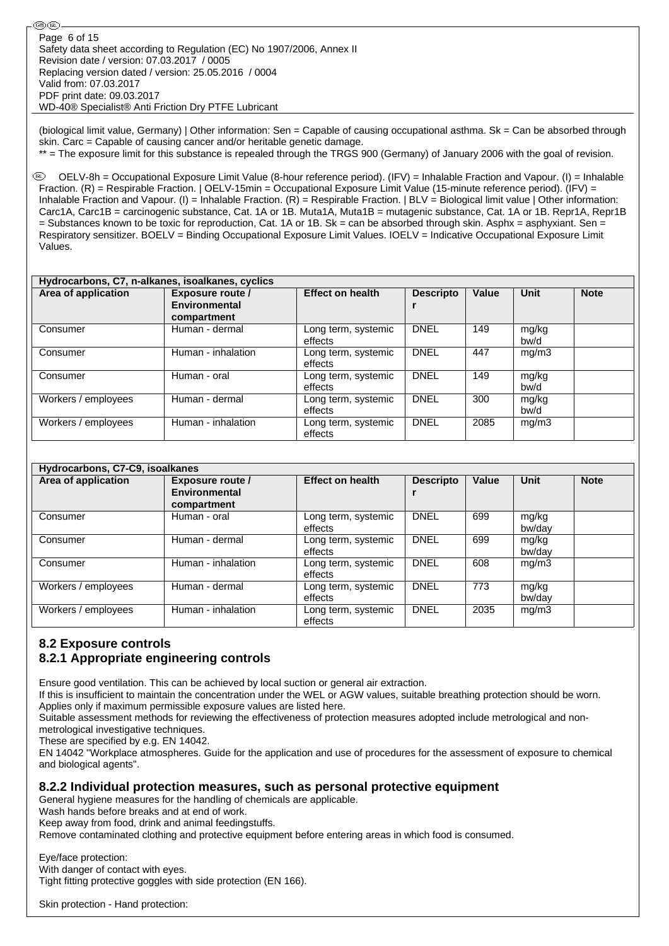(biological limit value, Germany) | Other information: Sen = Capable of causing occupational asthma. Sk = Can be absorbed through skin. Carc = Capable of causing cancer and/or heritable genetic damage.

\*\* = The exposure limit for this substance is repealed through the TRGS 900 (Germany) of January 2006 with the goal of revision.

 OELV-8h = Occupational Exposure Limit Value (8-hour reference period). (IFV) = Inhalable Fraction and Vapour. (I) = Inhalable Fraction. (R) = Respirable Fraction. | OELV-15min = Occupational Exposure Limit Value (15-minute reference period). (IFV) = Inhalable Fraction and Vapour. (I) = Inhalable Fraction. (R) = Respirable Fraction. | BLV = Biological limit value | Other information: Carc1A, Carc1B = carcinogenic substance, Cat. 1A or 1B. Muta1A, Muta1B = mutagenic substance, Cat. 1A or 1B. Repr1A, Repr1B  $=$  Substances known to be toxic for reproduction, Cat. 1A or 1B. Sk = can be absorbed through skin. Asphx = asphyxiant. Sen = Respiratory sensitizer. BOELV = Binding Occupational Exposure Limit Values. IOELV = Indicative Occupational Exposure Limit Values.

| Hydrocarbons, C7, n-alkanes, isoalkanes, cyclics |                                                  |                                |                  |       |               |             |  |  |  |  |  |
|--------------------------------------------------|--------------------------------------------------|--------------------------------|------------------|-------|---------------|-------------|--|--|--|--|--|
| Area of application                              | Exposure route /<br>Environmental<br>compartment | <b>Effect on health</b>        | <b>Descripto</b> | Value | <b>Unit</b>   | <b>Note</b> |  |  |  |  |  |
| Consumer                                         | Human - dermal                                   | Long term, systemic<br>effects | <b>DNEL</b>      | 149   | mg/kg<br>bw/d |             |  |  |  |  |  |
| Consumer                                         | Human - inhalation                               | Long term, systemic<br>effects | <b>DNEL</b>      | 447   | mg/m3         |             |  |  |  |  |  |
| Consumer                                         | Human - oral                                     | Long term, systemic<br>effects | <b>DNEL</b>      | 149   | mg/kg<br>bw/d |             |  |  |  |  |  |
| Workers / employees                              | Human - dermal                                   | Long term, systemic<br>effects | <b>DNEL</b>      | 300   | mg/kg<br>bw/d |             |  |  |  |  |  |
| Workers / employees                              | Human - inhalation                               | Long term, systemic<br>effects | <b>DNEL</b>      | 2085  | mg/m3         |             |  |  |  |  |  |

| Hydrocarbons, C7-C9, isoalkanes |                                                         |                                |                  |       |                 |             |  |  |  |  |  |
|---------------------------------|---------------------------------------------------------|--------------------------------|------------------|-------|-----------------|-------------|--|--|--|--|--|
| Area of application             | <b>Exposure route /</b><br>Environmental<br>compartment | <b>Effect on health</b>        | <b>Descripto</b> | Value | Unit            | <b>Note</b> |  |  |  |  |  |
| Consumer                        | Human - oral                                            | Long term, systemic<br>effects | <b>DNEL</b>      | 699   | mg/kg<br>bw/dav |             |  |  |  |  |  |
| Consumer                        | Human - dermal                                          | Long term, systemic<br>effects | <b>DNEL</b>      | 699   | mg/kg<br>bw/dav |             |  |  |  |  |  |
| Consumer                        | Human - inhalation                                      | Long term, systemic<br>effects | <b>DNEL</b>      | 608   | mg/m3           |             |  |  |  |  |  |
| Workers / employees             | Human - dermal                                          | Long term, systemic<br>effects | <b>DNEL</b>      | 773   | mg/kg<br>bw/dav |             |  |  |  |  |  |
| Workers / employees             | Human - inhalation                                      | Long term, systemic<br>effects | <b>DNEL</b>      | 2035  | mg/m3           |             |  |  |  |  |  |

# **8.2 Exposure controls 8.2.1 Appropriate engineering controls**

Ensure good ventilation. This can be achieved by local suction or general air extraction.

If this is insufficient to maintain the concentration under the WEL or AGW values, suitable breathing protection should be worn. Applies only if maximum permissible exposure values are listed here.

Suitable assessment methods for reviewing the effectiveness of protection measures adopted include metrological and nonmetrological investigative techniques.

These are specified by e.g. EN 14042.

EN 14042 "Workplace atmospheres. Guide for the application and use of procedures for the assessment of exposure to chemical and biological agents".

# **8.2.2 Individual protection measures, such as personal protective equipment**

General hygiene measures for the handling of chemicals are applicable.

Wash hands before breaks and at end of work.

Keep away from food, drink and animal feedingstuffs.

Remove contaminated clothing and protective equipment before entering areas in which food is consumed.

Eye/face protection: With danger of contact with eyes. Tight fitting protective goggles with side protection (EN 166).

Skin protection - Hand protection: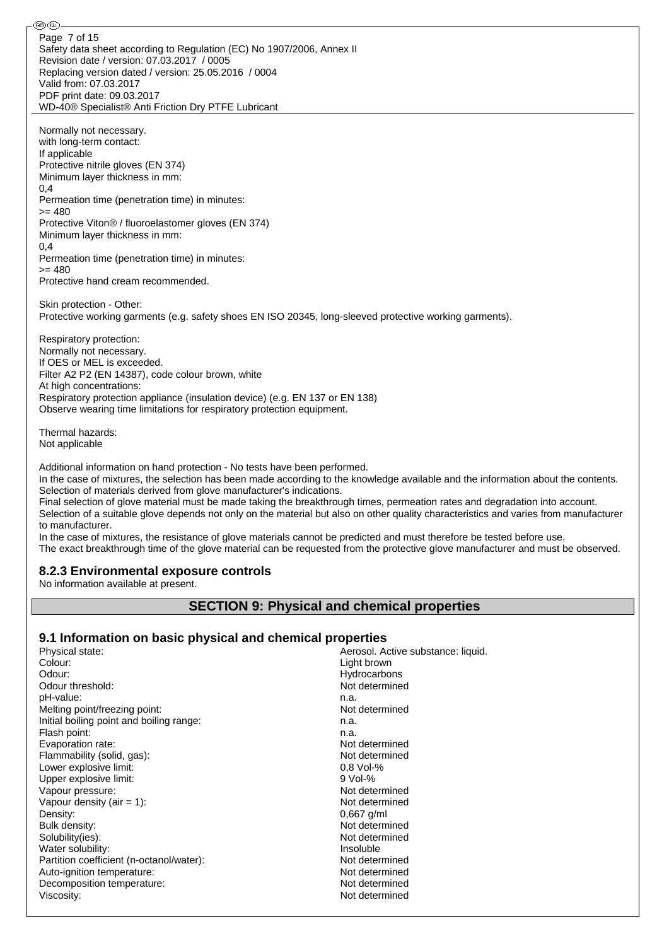Safety data sheet according to Regulation (EC) No 1907/2006, Annex II Revision date / version: 07.03.2017 / 0005 Replacing version dated / version: 25.05.2016 / 0004 Valid from: 07.03.2017 PDF print date: 09.03.2017 WD-40® Specialist® Anti Friction Dry PTFE Lubricant Page 7 of 15

Normally not necessary. with long-term contact: If applicable Protective nitrile gloves (EN 374) Minimum layer thickness in mm: 0,4 Permeation time (penetration time) in minutes:  $= 480$ Protective Viton® / fluoroelastomer gloves (EN 374) Minimum layer thickness in mm:  $0,4$ Permeation time (penetration time) in minutes:  $= 480$ Protective hand cream recommended.

Skin protection - Other: Protective working garments (e.g. safety shoes EN ISO 20345, long-sleeved protective working garments).

Respiratory protection: Normally not necessary. If OES or MEL is exceeded. Filter A2 P2 (EN 14387), code colour brown, white At high concentrations: Respiratory protection appliance (insulation device) (e.g. EN 137 or EN 138) Observe wearing time limitations for respiratory protection equipment.

Thermal hazards: Not applicable

⊛®

Additional information on hand protection - No tests have been performed.

In the case of mixtures, the selection has been made according to the knowledge available and the information about the contents. Selection of materials derived from glove manufacturer's indications.

Final selection of glove material must be made taking the breakthrough times, permeation rates and degradation into account. Selection of a suitable glove depends not only on the material but also on other quality characteristics and varies from manufacturer to manufacturer.

In the case of mixtures, the resistance of glove materials cannot be predicted and must therefore be tested before use. The exact breakthrough time of the glove material can be requested from the protective glove manufacturer and must be observed.

### **8.2.3 Environmental exposure controls**

No information available at present.

## **SECTION 9: Physical and chemical properties**

### **9.1 Information on basic physical and chemical properties**

| Physical state:                          | Aerosol. Active substance: liquid. |
|------------------------------------------|------------------------------------|
| Colour:                                  | Light brown                        |
| Odour:                                   | Hydrocarbons                       |
| Odour threshold:                         | Not determined                     |
| pH-value:                                | n.a.                               |
| Melting point/freezing point:            | Not determined                     |
| Initial boiling point and boiling range: | n.a.                               |
| Flash point:                             | n.a.                               |
| Evaporation rate:                        | Not determined                     |
| Flammability (solid, gas):               | Not determined                     |
| Lower explosive limit:                   | $0.8$ Vol-%                        |
| Upper explosive limit:                   | $9$ Vol-%                          |
| Vapour pressure:                         | Not determined                     |
| Vapour density (air = $1$ ):             | Not determined                     |
| Density:                                 | $0,667$ g/ml                       |
| Bulk density:                            | Not determined                     |
| Solubility(ies):                         | Not determined                     |
| Water solubility:                        | Insoluble                          |
| Partition coefficient (n-octanol/water): | Not determined                     |
| Auto-ignition temperature:               | Not determined                     |
| Decomposition temperature:               | Not determined                     |
| Viscosity:                               | Not determined                     |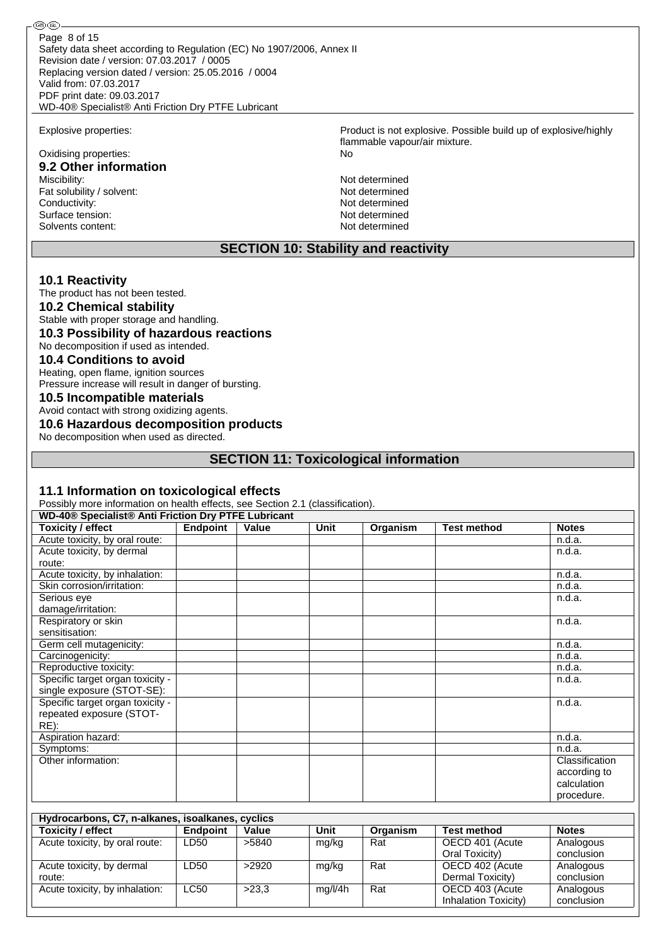Safety data sheet according to Regulation (EC) No 1907/2006, Annex II Revision date / version: 07.03.2017 / 0005 Replacing version dated / version: 25.05.2016 / 0004 Valid from: 07.03.2017 PDF print date: 09.03.2017 WD-40® Specialist® Anti Friction Dry PTFE Lubricant Page 8 of 15

# Oxidising properties: No **9.2 Other information**

Fat solubility / solvent:<br>
Conductivity:<br>
Not determined<br>
Not determined Conductivity:<br>
Surface tension:<br>
Not determined Surface tension: Solvents content: Not determined

### **SECTION 10: Stability and reactivity**

#### **10.1 Reactivity**

The product has not been tested.

**10.2 Chemical stability**

Stable with proper storage and handling.

### **10.3 Possibility of hazardous reactions**

No decomposition if used as intended.

### **10.4 Conditions to avoid**

Heating, open flame, ignition sources Pressure increase will result in danger of bursting.

#### **10.5 Incompatible materials**

Avoid contact with strong oxidizing agents.

## **10.6 Hazardous decomposition products**

No decomposition when used as directed.

### **SECTION 11: Toxicological information**

#### **11.1 Information on toxicological effects**

Possibly more information on health effects, see Section 2.1 (classification).

|                                  | WD-40® Specialist® Anti Friction Dry PTFE Lubricant |       |      |          |                    |                |  |  |  |  |  |
|----------------------------------|-----------------------------------------------------|-------|------|----------|--------------------|----------------|--|--|--|--|--|
| <b>Toxicity / effect</b>         | <b>Endpoint</b>                                     | Value | Unit | Organism | <b>Test method</b> | <b>Notes</b>   |  |  |  |  |  |
| Acute toxicity, by oral route:   |                                                     |       |      |          |                    | n.d.a.         |  |  |  |  |  |
| Acute toxicity, by dermal        |                                                     |       |      |          |                    | n.d.a.         |  |  |  |  |  |
| route:                           |                                                     |       |      |          |                    |                |  |  |  |  |  |
| Acute toxicity, by inhalation:   |                                                     |       |      |          |                    | n.d.a.         |  |  |  |  |  |
| Skin corrosion/irritation:       |                                                     |       |      |          |                    | n.d.a.         |  |  |  |  |  |
| Serious eye                      |                                                     |       |      |          |                    | n.d.a.         |  |  |  |  |  |
| damage/irritation:               |                                                     |       |      |          |                    |                |  |  |  |  |  |
| Respiratory or skin              |                                                     |       |      |          |                    | n.d.a.         |  |  |  |  |  |
| sensitisation:                   |                                                     |       |      |          |                    |                |  |  |  |  |  |
| Germ cell mutagenicity:          |                                                     |       |      |          |                    | n.d.a.         |  |  |  |  |  |
| Carcinogenicity:                 |                                                     |       |      |          |                    | n.d.a.         |  |  |  |  |  |
| Reproductive toxicity:           |                                                     |       |      |          |                    | n.d.a.         |  |  |  |  |  |
| Specific target organ toxicity - |                                                     |       |      |          |                    | n.d.a.         |  |  |  |  |  |
| single exposure (STOT-SE):       |                                                     |       |      |          |                    |                |  |  |  |  |  |
| Specific target organ toxicity - |                                                     |       |      |          |                    | n.d.a.         |  |  |  |  |  |
| repeated exposure (STOT-         |                                                     |       |      |          |                    |                |  |  |  |  |  |
| $RE)$ :                          |                                                     |       |      |          |                    |                |  |  |  |  |  |
| Aspiration hazard:               |                                                     |       |      |          |                    | n.d.a.         |  |  |  |  |  |
| Symptoms:                        |                                                     |       |      |          |                    | n.d.a.         |  |  |  |  |  |
| Other information:               |                                                     |       |      |          |                    | Classification |  |  |  |  |  |
|                                  |                                                     |       |      |          |                    | according to   |  |  |  |  |  |
|                                  |                                                     |       |      |          |                    | calculation    |  |  |  |  |  |
|                                  |                                                     |       |      |          |                    | procedure.     |  |  |  |  |  |

| Hydrocarbons, C7, n-alkanes, isoalkanes, cyclics |                 |       |         |          |                      |              |  |  |  |  |  |
|--------------------------------------------------|-----------------|-------|---------|----------|----------------------|--------------|--|--|--|--|--|
| <b>Toxicity / effect</b>                         | <b>Endpoint</b> | Value | Unit    | Organism | <b>Test method</b>   | <b>Notes</b> |  |  |  |  |  |
| Acute toxicity, by oral route:                   | LD50            | >5840 | mg/kg   | Rat      | OECD 401 (Acute      | Analogous    |  |  |  |  |  |
|                                                  |                 |       |         |          | Oral Toxicity)       | conclusion   |  |  |  |  |  |
| Acute toxicity, by dermal                        | LD50            | >2920 | mg/kg   | Rat      | OECD 402 (Acute      | Analogous    |  |  |  |  |  |
| route:                                           |                 |       |         |          | Dermal Toxicity)     | conclusion   |  |  |  |  |  |
| Acute toxicity, by inhalation:                   | LC50            | >23.3 | mg/l/4h | Rat      | OECD 403 (Acute      | Analogous    |  |  |  |  |  |
|                                                  |                 |       |         |          | Inhalation Toxicity) | conclusion   |  |  |  |  |  |

Explosive properties: Product is not explosive. Possible build up of explosive/highly flammable vapour/air mixture.

Not determined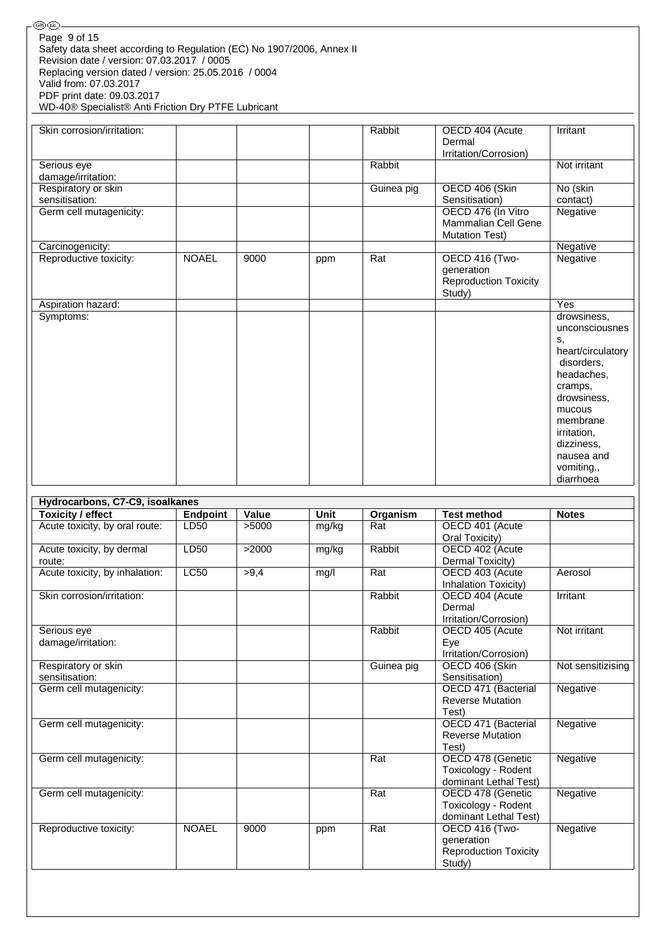| ை<br>இலை                                                                                                                                                                                                                                                                                                   |                 |       |       |            |                                                                                                   |                                                                                                                                                                                                            |
|------------------------------------------------------------------------------------------------------------------------------------------------------------------------------------------------------------------------------------------------------------------------------------------------------------|-----------------|-------|-------|------------|---------------------------------------------------------------------------------------------------|------------------------------------------------------------------------------------------------------------------------------------------------------------------------------------------------------------|
| Page 9 of 15<br>Safety data sheet according to Regulation (EC) No 1907/2006, Annex II<br>Revision date / version: 07.03.2017 / 0005<br>Replacing version dated / version: 25.05.2016 / 0004<br>Valid from: 07.03.2017<br>PDF print date: 09.03.2017<br>WD-40® Specialist® Anti Friction Dry PTFE Lubricant |                 |       |       |            |                                                                                                   |                                                                                                                                                                                                            |
| Skin corrosion/irritation:                                                                                                                                                                                                                                                                                 |                 |       |       | Rabbit     | OECD 404 (Acute<br>Dermal<br>Irritation/Corrosion)                                                | Irritant                                                                                                                                                                                                   |
| Serious eye                                                                                                                                                                                                                                                                                                |                 |       |       | Rabbit     |                                                                                                   | Not irritant                                                                                                                                                                                               |
| damage/irritation:<br>Respiratory or skin                                                                                                                                                                                                                                                                  |                 |       |       | Guinea pig | OECD 406 (Skin                                                                                    | No (skin                                                                                                                                                                                                   |
| sensitisation:<br>Germ cell mutagenicity:                                                                                                                                                                                                                                                                  |                 |       |       |            | Sensitisation)<br>OECD 476 (In Vitro<br>Mammalian Cell Gene                                       | contact)<br>Negative                                                                                                                                                                                       |
| Carcinogenicity:                                                                                                                                                                                                                                                                                           |                 |       |       |            | <b>Mutation Test)</b>                                                                             | Negative                                                                                                                                                                                                   |
| Reproductive toxicity:                                                                                                                                                                                                                                                                                     | <b>NOAEL</b>    | 9000  | ppm   | Rat        | OECD 416 (Two-<br>generation<br><b>Reproduction Toxicity</b><br>Study)                            | Negative                                                                                                                                                                                                   |
| Aspiration hazard:                                                                                                                                                                                                                                                                                         |                 |       |       |            |                                                                                                   | Yes                                                                                                                                                                                                        |
| Symptoms:                                                                                                                                                                                                                                                                                                  |                 |       |       |            |                                                                                                   | drowsiness,<br>unconsciousnes<br>S,<br>heart/circulatory<br>disorders,<br>headaches,<br>cramps,<br>drowsiness,<br>mucous<br>membrane<br>irritation,<br>dizziness,<br>nausea and<br>vomiting.,<br>diarrhoea |
|                                                                                                                                                                                                                                                                                                            |                 |       |       |            |                                                                                                   |                                                                                                                                                                                                            |
| Hydrocarbons, C7-C9, isoalkanes                                                                                                                                                                                                                                                                            |                 |       |       |            |                                                                                                   |                                                                                                                                                                                                            |
| <b>Toxicity / effect</b>                                                                                                                                                                                                                                                                                   | <b>Endpoint</b> | Value | Unit  | Organism   | <b>Test method</b>                                                                                | <b>Notes</b>                                                                                                                                                                                               |
| Acute toxicity, by oral route:                                                                                                                                                                                                                                                                             | LD50            | >5000 | mg/kg | Rat        | OECD 401 (Acute<br>Oral Toxicity)                                                                 |                                                                                                                                                                                                            |
| Acute toxicity, by dermal<br>route:                                                                                                                                                                                                                                                                        | LD50            | >2000 | mg/kg | Rabbit     | OECD 402 (Acute<br>Dermal Toxicity)                                                               |                                                                                                                                                                                                            |
| Acute toxicity, by inhalation:                                                                                                                                                                                                                                                                             | LC50            | >9,4  | mg/l  | Rat        | OECD 403 (Acute<br>Inhalation Toxicity)                                                           | Aerosol                                                                                                                                                                                                    |
| Skin corrosion/irritation:                                                                                                                                                                                                                                                                                 |                 |       |       | Rabbit     | OECD 404 (Acute<br>Dermal<br>Irritation/Corrosion)                                                | Irritant                                                                                                                                                                                                   |
| Serious eye<br>damage/irritation:                                                                                                                                                                                                                                                                          |                 |       |       | Rabbit     | OECD 405 (Acute<br>Eye<br>Irritation/Corrosion)                                                   | Not irritant                                                                                                                                                                                               |
| Respiratory or skin<br>sensitisation:                                                                                                                                                                                                                                                                      |                 |       |       | Guinea pig | OECD 406 (Skin<br>Sensitisation)                                                                  | Not sensitizising                                                                                                                                                                                          |
| Germ cell mutagenicity:                                                                                                                                                                                                                                                                                    |                 |       |       |            | OECD 471 (Bacterial<br><b>Reverse Mutation</b><br>Test)                                           | Negative                                                                                                                                                                                                   |
| Germ cell mutagenicity:                                                                                                                                                                                                                                                                                    |                 |       |       |            | OECD 471 (Bacterial<br><b>Reverse Mutation</b><br>Test)                                           | Negative                                                                                                                                                                                                   |
| Germ cell mutagenicity:                                                                                                                                                                                                                                                                                    |                 |       |       | Rat        | OECD 478 (Genetic<br>Toxicology - Rodent<br>dominant Lethal Test)                                 | Negative                                                                                                                                                                                                   |
| Germ cell mutagenicity:<br>Reproductive toxicity:                                                                                                                                                                                                                                                          | <b>NOAEL</b>    | 9000  | ppm   | Rat<br>Rat | OECD 478 (Genetic<br>Toxicology - Rodent<br>dominant Lethal Test)<br>OECD 416 (Two-<br>generation | Negative<br>Negative                                                                                                                                                                                       |
|                                                                                                                                                                                                                                                                                                            |                 |       |       |            | <b>Reproduction Toxicity</b><br>Study)                                                            |                                                                                                                                                                                                            |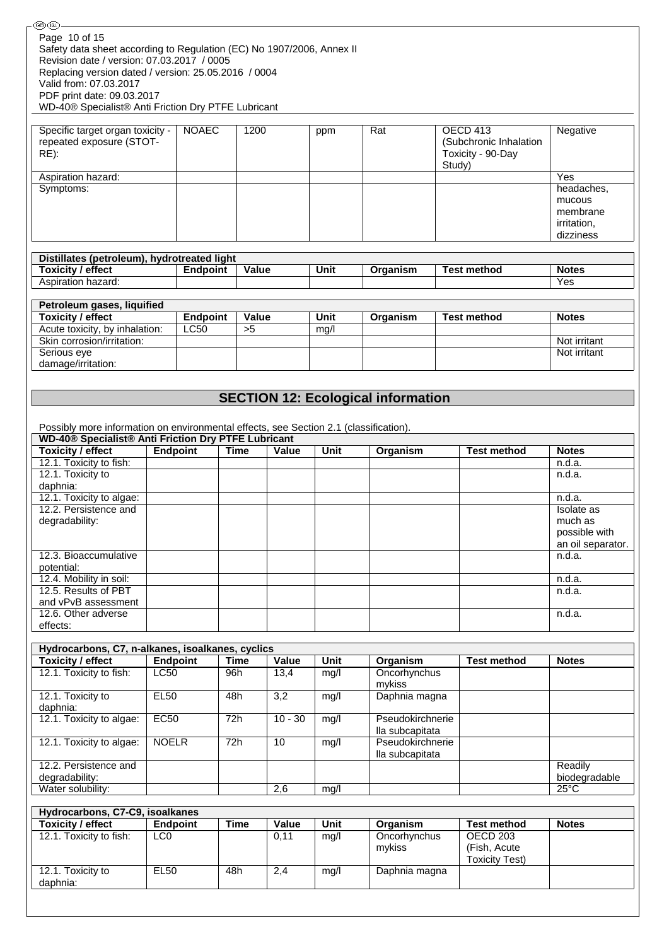| <b>⑥ጪ</b>                                                                                                                                    |                                |                 |             |             |             |                                           |        |                                                          |                                                              |
|----------------------------------------------------------------------------------------------------------------------------------------------|--------------------------------|-----------------|-------------|-------------|-------------|-------------------------------------------|--------|----------------------------------------------------------|--------------------------------------------------------------|
| Page 10 of 15<br>Safety data sheet according to Regulation (EC) No 1907/2006, Annex II<br>Revision date / version: 07.03.2017 / 0005         |                                |                 |             |             |             |                                           |        |                                                          |                                                              |
| Replacing version dated / version: 25.05.2016 / 0004<br>Valid from: 07.03.2017<br>PDF print date: 09.03.2017                                 |                                |                 |             |             |             |                                           |        |                                                          |                                                              |
| WD-40® Specialist® Anti Friction Dry PTFE Lubricant                                                                                          |                                |                 |             |             |             |                                           |        |                                                          |                                                              |
| Specific target organ toxicity -<br>repeated exposure (STOT-<br>$RE)$ :                                                                      |                                | <b>NOAEC</b>    | 1200        |             | ppm         | Rat                                       | Study) | OECD 413<br>(Subchronic Inhalation<br>Toxicity - 90-Day  | Negative                                                     |
| Aspiration hazard:                                                                                                                           |                                |                 |             |             |             |                                           |        |                                                          | Yes                                                          |
| Symptoms:                                                                                                                                    |                                |                 |             |             |             |                                           |        |                                                          | headaches,<br>mucous<br>membrane<br>irritation,<br>dizziness |
| Distillates (petroleum), hydrotreated light                                                                                                  |                                |                 |             |             |             |                                           |        |                                                          |                                                              |
| <b>Toxicity / effect</b>                                                                                                                     |                                | <b>Endpoint</b> | Value       |             | <b>Unit</b> | Organism                                  |        | <b>Test method</b>                                       | <b>Notes</b>                                                 |
| Aspiration hazard:                                                                                                                           |                                |                 |             |             |             |                                           |        |                                                          | Yes                                                          |
| Petroleum gases, liquified                                                                                                                   |                                |                 |             |             |             |                                           |        |                                                          |                                                              |
| <b>Toxicity / effect</b>                                                                                                                     |                                | <b>Endpoint</b> | Value       |             | <b>Unit</b> | Organism                                  |        | <b>Test method</b>                                       | <b>Notes</b>                                                 |
| Acute toxicity, by inhalation:                                                                                                               |                                | <b>LC50</b>     | >5          |             | mg/l        |                                           |        |                                                          |                                                              |
| Skin corrosion/irritation:                                                                                                                   |                                |                 |             |             |             |                                           |        |                                                          | Not irritant                                                 |
| Serious eye                                                                                                                                  |                                |                 |             |             |             |                                           |        |                                                          | Not irritant                                                 |
| damage/irritation:                                                                                                                           |                                |                 |             |             |             |                                           |        |                                                          |                                                              |
|                                                                                                                                              |                                |                 |             |             |             |                                           |        |                                                          |                                                              |
|                                                                                                                                              |                                |                 |             |             |             | <b>SECTION 12: Ecological information</b> |        |                                                          |                                                              |
|                                                                                                                                              |                                |                 |             |             |             |                                           |        |                                                          |                                                              |
| Possibly more information on environmental effects, see Section 2.1 (classification).<br>WD-40® Specialist® Anti Friction Dry PTFE Lubricant |                                |                 |             |             |             |                                           |        |                                                          |                                                              |
| <b>Toxicity / effect</b>                                                                                                                     | <b>Endpoint</b>                |                 | <b>Time</b> | Value       | Unit        | Organism                                  |        | <b>Test method</b>                                       | <b>Notes</b>                                                 |
| 12.1. Toxicity to fish:                                                                                                                      |                                |                 |             |             |             |                                           |        |                                                          | n.d.a.                                                       |
| 12.1. Toxicity to<br>daphnia:                                                                                                                |                                |                 |             |             |             |                                           |        |                                                          | n.d.a.                                                       |
| 12.1. Toxicity to algae:                                                                                                                     |                                |                 |             |             |             |                                           |        |                                                          | n.d.a.                                                       |
| 12.2. Persistence and                                                                                                                        |                                |                 |             |             |             |                                           |        |                                                          | <b>Isolate</b> as                                            |
| degradability:                                                                                                                               |                                |                 |             |             |             |                                           |        |                                                          | much as<br>possible with<br>an oil separator.                |
| 12.3. Bioaccumulative                                                                                                                        |                                |                 |             |             |             |                                           |        |                                                          | n.d.a.                                                       |
| potential:                                                                                                                                   |                                |                 |             |             |             |                                           |        |                                                          |                                                              |
| 12.4. Mobility in soil:                                                                                                                      |                                |                 |             |             |             |                                           |        |                                                          | n.d.a.                                                       |
| 12.5. Results of PBT<br>and vPvB assessment                                                                                                  |                                |                 |             |             |             |                                           |        |                                                          | n.d.a.                                                       |
| 12.6. Other adverse                                                                                                                          |                                |                 |             |             |             |                                           |        |                                                          | n.d.a.                                                       |
| effects:                                                                                                                                     |                                |                 |             |             |             |                                           |        |                                                          |                                                              |
|                                                                                                                                              |                                |                 |             |             |             |                                           |        |                                                          |                                                              |
| Hydrocarbons, C7, n-alkanes, isoalkanes, cyclics<br><b>Toxicity / effect</b>                                                                 | <b>Endpoint</b>                |                 | <b>Time</b> | Value       | <b>Unit</b> | Organism                                  |        | <b>Test method</b>                                       | <b>Notes</b>                                                 |
| 12.1. Toxicity to fish:                                                                                                                      | <b>LC50</b>                    | 96h             |             | 13,4        | mg/l        | Oncorhynchus                              |        |                                                          |                                                              |
|                                                                                                                                              |                                |                 |             |             |             | mykiss                                    |        |                                                          |                                                              |
| 12.1. Toxicity to                                                                                                                            | <b>EL50</b>                    | 48h             |             | 3,2         | mg/l        | Daphnia magna                             |        |                                                          |                                                              |
| daphnia:                                                                                                                                     |                                |                 |             |             |             |                                           |        |                                                          |                                                              |
| 12.1. Toxicity to algae:                                                                                                                     | EC50                           | 72h             |             | $10 - 30$   | mg/l        | Pseudokirchnerie                          |        |                                                          |                                                              |
| 12.1. Toxicity to algae:                                                                                                                     | <b>NOELR</b>                   | 72h             |             | 10          | mg/l        | lla subcapitata<br>Pseudokirchnerie       |        |                                                          |                                                              |
| 12.2. Persistence and                                                                                                                        |                                |                 |             |             |             | lla subcapitata                           |        |                                                          | Readily                                                      |
| degradability:                                                                                                                               |                                |                 |             |             |             |                                           |        |                                                          | biodegradable                                                |
| Water solubility:                                                                                                                            |                                |                 |             | 2,6         | mg/l        |                                           |        |                                                          | $25^{\circ}$ C                                               |
| Hydrocarbons, C7-C9, isoalkanes                                                                                                              |                                |                 |             |             |             |                                           |        |                                                          |                                                              |
| <b>Toxicity / effect</b>                                                                                                                     | <b>Endpoint</b>                |                 | <b>Time</b> | Value       | <b>Unit</b> | Organism                                  |        | <b>Test method</b>                                       | <b>Notes</b>                                                 |
| 12.1. Toxicity to fish:<br>12.1. Toxicity to                                                                                                 | LC <sub>0</sub><br><b>EL50</b> | 48h             |             | 0,11<br>2,4 | mg/l        | Oncorhynchus<br>mykiss<br>Daphnia magna   |        | <b>OECD 203</b><br>(Fish, Acute<br><b>Toxicity Test)</b> |                                                              |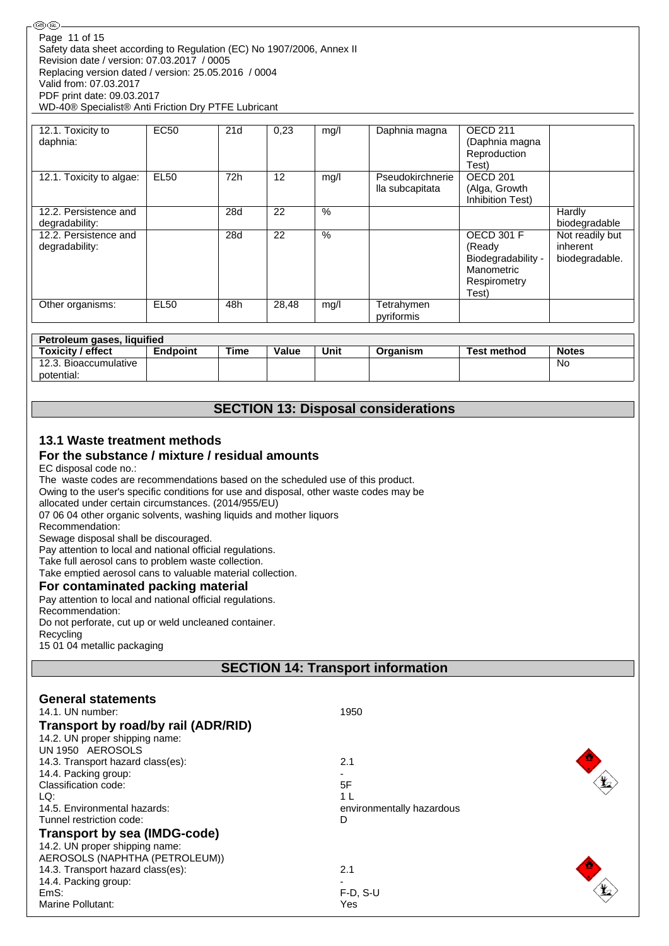#### ௵ Page 11 of 15Safety data sheet according to Regulation (EC) No 1907/2006, Annex II Revision date / version: 07.03.2017 / 0005 Replacing version dated / version: 25.05.2016 / 0004 Valid from: 07.03.2017 PDF print date: 09.03.2017 WD-40® Specialist® Anti Friction Dry PTFE Lubricant

| 12.1. Toxicity to<br>daphnia:           | <b>EC50</b> | 21d | 0,23  | mq/l | Daphnia magna                       | OECD <sub>211</sub><br>(Daphnia magna<br>Reproduction<br>Test)                           |                                               |
|-----------------------------------------|-------------|-----|-------|------|-------------------------------------|------------------------------------------------------------------------------------------|-----------------------------------------------|
| 12.1. Toxicity to algae:                | <b>EL50</b> | 72h | 12    | mg/l | Pseudokirchnerie<br>lla subcapitata | OECD <sub>201</sub><br>(Alga, Growth<br>Inhibition Test)                                 |                                               |
| 12.2. Persistence and<br>degradability: |             | 28d | 22    | $\%$ |                                     |                                                                                          | Hardly<br>biodegradable                       |
| 12.2. Persistence and<br>degradability: |             | 28d | 22    | $\%$ |                                     | <b>OECD 301 F</b><br>(Ready<br>Biodegradability -<br>Manometric<br>Respirometry<br>Test) | Not readily but<br>inherent<br>biodegradable. |
| Other organisms:                        | <b>EL50</b> | 48h | 28,48 | mq/l | Tetrahymen<br>pyriformis            |                                                                                          |                                               |

| Petroleum gases, liquified |                 |      |              |      |          |             |              |  |  |  |  |  |
|----------------------------|-----------------|------|--------------|------|----------|-------------|--------------|--|--|--|--|--|
| Toxicity / effect          | <b>Endpoint</b> | Time | <b>Value</b> | Unit | Organism | Test method | <b>Notes</b> |  |  |  |  |  |
| 12.3. Bioaccumulative      |                 |      |              |      |          |             | No           |  |  |  |  |  |
| potential:                 |                 |      |              |      |          |             |              |  |  |  |  |  |

# **SECTION 13: Disposal considerations**

## **13.1 Waste treatment methods**

## **For the substance / mixture / residual amounts**

#### EC disposal code no.:

The waste codes are recommendations based on the scheduled use of this product. Owing to the user's specific conditions for use and disposal, other waste codes may be allocated under certain circumstances. (2014/955/EU) 07 06 04 other organic solvents, washing liquids and mother liquors Recommendation: Sewage disposal shall be discouraged. Pay attention to local and national official regulations. Take full aerosol cans to problem waste collection. Take emptied aerosol cans to valuable material collection. **For contaminated packing material** Pay attention to local and national official regulations. Recommendation: Do not perforate, cut up or weld uncleaned container. **Recycling** 

15 01 04 metallic packaging

# **SECTION 14: Transport information**

| <b>General statements</b>           |                           |  |
|-------------------------------------|---------------------------|--|
| 14.1. UN number:                    | 1950                      |  |
| Transport by road/by rail (ADR/RID) |                           |  |
| 14.2. UN proper shipping name:      |                           |  |
| UN 1950 AEROSOLS                    |                           |  |
| 14.3. Transport hazard class(es):   | 2.1                       |  |
| 14.4. Packing group:                |                           |  |
| Classification code:                | 5F                        |  |
| LQ:                                 | 1 I                       |  |
| 14.5. Environmental hazards:        | environmentally hazardous |  |
| Tunnel restriction code:            | D                         |  |
| <b>Transport by sea (IMDG-code)</b> |                           |  |
| 14.2. UN proper shipping name:      |                           |  |
| AEROSOLS (NAPHTHA (PETROLEUM))      |                           |  |
| 14.3. Transport hazard class(es):   | 2.1                       |  |
| 14.4. Packing group:                |                           |  |
| EmS:                                | $F-D$ , S-U               |  |
| Marine Pollutant:                   | Yes                       |  |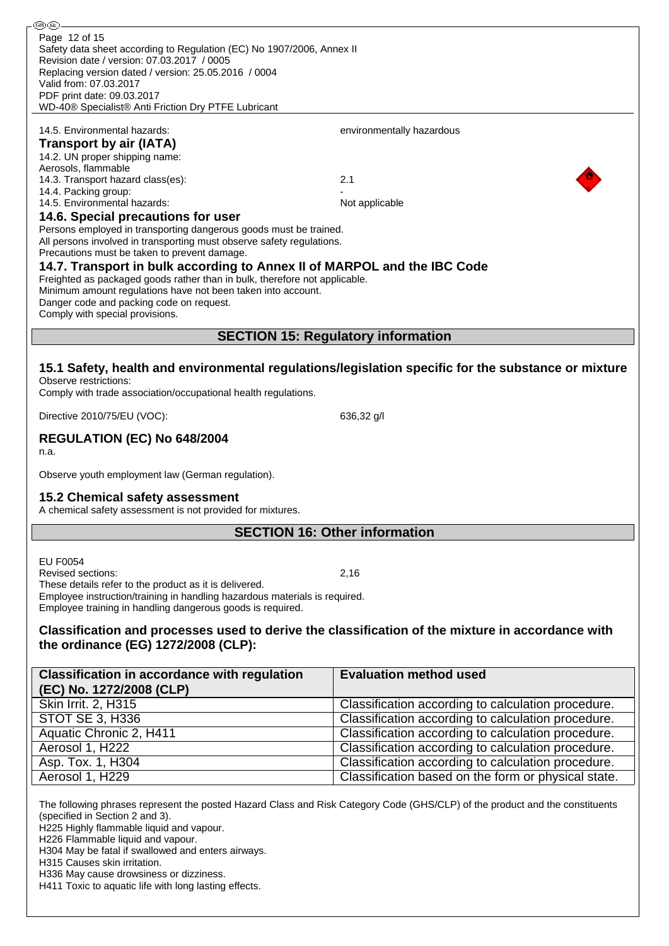| ை (ொ                                                                                                                                       |                                                                                                     |  |  |
|--------------------------------------------------------------------------------------------------------------------------------------------|-----------------------------------------------------------------------------------------------------|--|--|
| Page 12 of 15                                                                                                                              |                                                                                                     |  |  |
| Safety data sheet according to Regulation (EC) No 1907/2006, Annex II                                                                      |                                                                                                     |  |  |
| Revision date / version: 07.03.2017 / 0005                                                                                                 |                                                                                                     |  |  |
| Replacing version dated / version: 25.05.2016 / 0004<br>Valid from: 07.03.2017                                                             |                                                                                                     |  |  |
| PDF print date: 09.03.2017                                                                                                                 |                                                                                                     |  |  |
| WD-40® Specialist® Anti Friction Dry PTFE Lubricant                                                                                        |                                                                                                     |  |  |
|                                                                                                                                            |                                                                                                     |  |  |
| 14.5. Environmental hazards:                                                                                                               | environmentally hazardous                                                                           |  |  |
| <b>Transport by air (IATA)</b>                                                                                                             |                                                                                                     |  |  |
| 14.2. UN proper shipping name:                                                                                                             |                                                                                                     |  |  |
| Aerosols, flammable                                                                                                                        |                                                                                                     |  |  |
| 14.3. Transport hazard class(es):                                                                                                          | 2.1                                                                                                 |  |  |
| 14.4. Packing group:                                                                                                                       |                                                                                                     |  |  |
| 14.5. Environmental hazards:                                                                                                               | Not applicable                                                                                      |  |  |
| 14.6. Special precautions for user                                                                                                         |                                                                                                     |  |  |
| Persons employed in transporting dangerous goods must be trained.<br>All persons involved in transporting must observe safety regulations. |                                                                                                     |  |  |
| Precautions must be taken to prevent damage.                                                                                               |                                                                                                     |  |  |
| 14.7. Transport in bulk according to Annex II of MARPOL and the IBC Code                                                                   |                                                                                                     |  |  |
| Freighted as packaged goods rather than in bulk, therefore not applicable.                                                                 |                                                                                                     |  |  |
| Minimum amount regulations have not been taken into account.                                                                               |                                                                                                     |  |  |
| Danger code and packing code on request.                                                                                                   |                                                                                                     |  |  |
| Comply with special provisions.                                                                                                            |                                                                                                     |  |  |
|                                                                                                                                            |                                                                                                     |  |  |
|                                                                                                                                            | <b>SECTION 15: Regulatory information</b>                                                           |  |  |
|                                                                                                                                            |                                                                                                     |  |  |
|                                                                                                                                            | 15.1 Safety, health and environmental regulations/legislation specific for the substance or mixture |  |  |
| Observe restrictions:                                                                                                                      |                                                                                                     |  |  |
| Comply with trade association/occupational health regulations.                                                                             |                                                                                                     |  |  |
| Directive 2010/75/EU (VOC):                                                                                                                | 636,32 g/l                                                                                          |  |  |
|                                                                                                                                            |                                                                                                     |  |  |
| REGULATION (EC) No 648/2004                                                                                                                |                                                                                                     |  |  |
| n.a.                                                                                                                                       |                                                                                                     |  |  |
|                                                                                                                                            |                                                                                                     |  |  |
| Observe youth employment law (German regulation).                                                                                          |                                                                                                     |  |  |
| 15.2 Chemical safety assessment                                                                                                            |                                                                                                     |  |  |
| A chemical safety assessment is not provided for mixtures.                                                                                 |                                                                                                     |  |  |
|                                                                                                                                            |                                                                                                     |  |  |
| <b>SECTION 16: Other information</b>                                                                                                       |                                                                                                     |  |  |
|                                                                                                                                            |                                                                                                     |  |  |
| <b>EU F0054</b>                                                                                                                            |                                                                                                     |  |  |
| <b>Revised sections:</b>                                                                                                                   | 2,16                                                                                                |  |  |
| These details refer to the product as it is delivered.                                                                                     |                                                                                                     |  |  |
| Employee instruction/training in handling hazardous materials is required.<br>Employee training in handling dangerous goods is required.   |                                                                                                     |  |  |
|                                                                                                                                            |                                                                                                     |  |  |
| Classification and processes used to derive the classification of the mixture in accordance with                                           |                                                                                                     |  |  |
| the ordinance (EG) 1272/2008 (CLP):                                                                                                        |                                                                                                     |  |  |
|                                                                                                                                            |                                                                                                     |  |  |
| <b>Classification in accordance with regulation</b>                                                                                        | <b>Evaluation method used</b>                                                                       |  |  |
| (EC) No. 1272/2008 (CLP)                                                                                                                   |                                                                                                     |  |  |
| Skin Irrit. 2, H315                                                                                                                        | Classification according to calculation procedure.                                                  |  |  |
| <b>STOT SE 3, H336</b>                                                                                                                     | Classification according to calculation procedure.                                                  |  |  |
|                                                                                                                                            |                                                                                                     |  |  |
| Aquatic Chronic 2, H411                                                                                                                    | Classification according to calculation procedure.                                                  |  |  |
| Aerosol 1, H222                                                                                                                            | Classification according to calculation procedure.                                                  |  |  |
| Asp. Tox. 1, H304                                                                                                                          | Classification according to calculation procedure.                                                  |  |  |
| Aerosol 1, H229                                                                                                                            | Classification based on the form or physical state.                                                 |  |  |
|                                                                                                                                            |                                                                                                     |  |  |
| The following phrases represent the posted Hazard Class and Risk Category Code (GHS/CLP) of the product and the constituents               |                                                                                                     |  |  |

(specified in Section 2 and 3). H225 Highly flammable liquid and vapour.

H226 Flammable liquid and vapour.

H304 May be fatal if swallowed and enters airways.

H315 Causes skin irritation.

H336 May cause drowsiness or dizziness.

H411 Toxic to aquatic life with long lasting effects.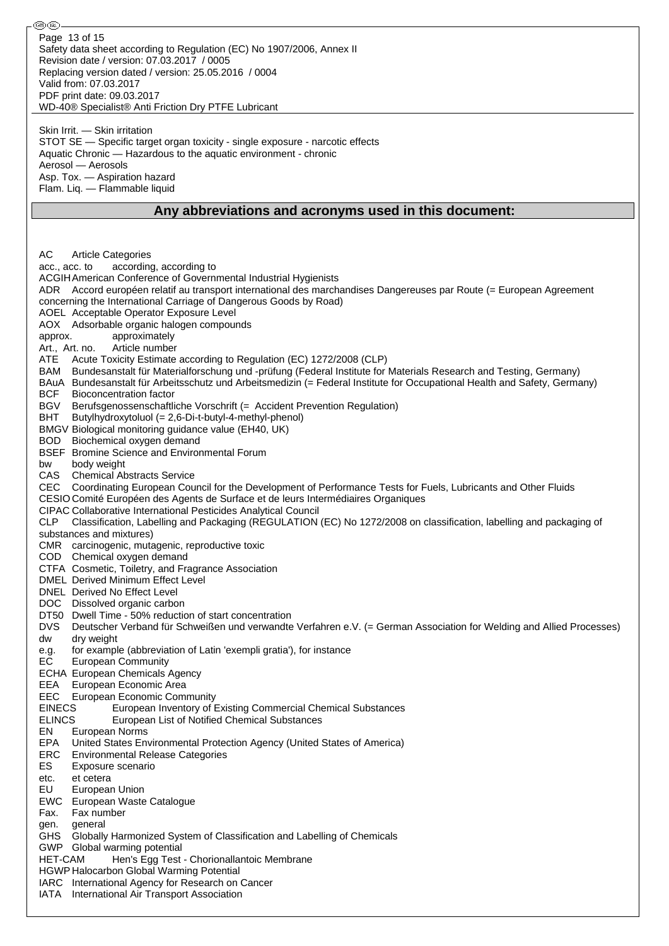| ை (ொ                                                                                                                                                                                                   |  |
|--------------------------------------------------------------------------------------------------------------------------------------------------------------------------------------------------------|--|
| Page 13 of 15                                                                                                                                                                                          |  |
| Safety data sheet according to Regulation (EC) No 1907/2006, Annex II                                                                                                                                  |  |
| Revision date / version: 07.03.2017 / 0005<br>Replacing version dated / version: 25.05.2016 / 0004                                                                                                     |  |
| Valid from: 07.03.2017                                                                                                                                                                                 |  |
| PDF print date: 09.03.2017                                                                                                                                                                             |  |
| WD-40® Specialist® Anti Friction Dry PTFE Lubricant                                                                                                                                                    |  |
|                                                                                                                                                                                                        |  |
| Skin Irrit. - Skin irritation<br>STOT SE - Specific target organ toxicity - single exposure - narcotic effects                                                                                         |  |
| Aquatic Chronic — Hazardous to the aquatic environment - chronic                                                                                                                                       |  |
| Aerosol — Aerosols                                                                                                                                                                                     |  |
| Asp. Tox. - Aspiration hazard                                                                                                                                                                          |  |
| Flam. Liq. - Flammable liquid                                                                                                                                                                          |  |
| Any abbreviations and acronyms used in this document:                                                                                                                                                  |  |
|                                                                                                                                                                                                        |  |
|                                                                                                                                                                                                        |  |
| AC<br><b>Article Categories</b>                                                                                                                                                                        |  |
| according, according to<br>acc., acc. to                                                                                                                                                               |  |
| ACGIH American Conference of Governmental Industrial Hygienists                                                                                                                                        |  |
| ADR Accord européen relatif au transport international des marchandises Dangereuses par Route (= European Agreement                                                                                    |  |
| concerning the International Carriage of Dangerous Goods by Road)                                                                                                                                      |  |
| AOEL Acceptable Operator Exposure Level                                                                                                                                                                |  |
| AOX Adsorbable organic halogen compounds<br>approximately<br>approx.                                                                                                                                   |  |
| Article number<br>Art., Art. no.                                                                                                                                                                       |  |
| Acute Toxicity Estimate according to Regulation (EC) 1272/2008 (CLP)<br>ATE                                                                                                                            |  |
| Bundesanstalt für Materialforschung und -prüfung (Federal Institute for Materials Research and Testing, Germany)<br>BAM                                                                                |  |
| BAuA Bundesanstalt für Arbeitsschutz und Arbeitsmedizin (= Federal Institute for Occupational Health and Safety, Germany)                                                                              |  |
| BCF<br><b>Bioconcentration factor</b>                                                                                                                                                                  |  |
| BGV<br>Berufsgenossenschaftliche Vorschrift (= Accident Prevention Regulation)<br>Butylhydroxytoluol (= 2,6-Di-t-butyl-4-methyl-phenol)<br>BHT                                                         |  |
| BMGV Biological monitoring guidance value (EH40, UK)                                                                                                                                                   |  |
| BOD Biochemical oxygen demand                                                                                                                                                                          |  |
| BSEF Bromine Science and Environmental Forum                                                                                                                                                           |  |
| body weight<br>bw                                                                                                                                                                                      |  |
| CAS<br><b>Chemical Abstracts Service</b>                                                                                                                                                               |  |
| CEC Coordinating European Council for the Development of Performance Tests for Fuels, Lubricants and Other Fluids<br>CESIO Comité Européen des Agents de Surface et de leurs Intermédiaires Organiques |  |
| <b>CIPAC Collaborative International Pesticides Analytical Council</b>                                                                                                                                 |  |
| CLP Classification, Labelling and Packaging (REGULATION (EC) No 1272/2008 on classification, labelling and packaging of                                                                                |  |
| substances and mixtures)                                                                                                                                                                               |  |
| CMR carcinogenic, mutagenic, reproductive toxic                                                                                                                                                        |  |
| COD Chemical oxygen demand<br>CTFA Cosmetic, Toiletry, and Fragrance Association                                                                                                                       |  |
| DMEL Derived Minimum Effect Level                                                                                                                                                                      |  |
| DNEL Derived No Effect Level                                                                                                                                                                           |  |
| DOC Dissolved organic carbon                                                                                                                                                                           |  |
| DT50 Dwell Time - 50% reduction of start concentration                                                                                                                                                 |  |
| <b>DVS</b><br>Deutscher Verband für Schweißen und verwandte Verfahren e.V. (= German Association for Welding and Allied Processes)<br>dw                                                               |  |
| dry weight<br>for example (abbreviation of Latin 'exempli gratia'), for instance<br>e.g.                                                                                                               |  |
| EC<br><b>European Community</b>                                                                                                                                                                        |  |
| <b>ECHA European Chemicals Agency</b>                                                                                                                                                                  |  |
| EEA European Economic Area                                                                                                                                                                             |  |
| <b>EEC</b> European Economic Community                                                                                                                                                                 |  |
| <b>EINECS</b><br>European Inventory of Existing Commercial Chemical Substances<br><b>ELINCS</b><br>European List of Notified Chemical Substances                                                       |  |
| EN<br>European Norms                                                                                                                                                                                   |  |
| <b>EPA</b><br>United States Environmental Protection Agency (United States of America)                                                                                                                 |  |
| ERC<br><b>Environmental Release Categories</b>                                                                                                                                                         |  |
| ES<br>Exposure scenario                                                                                                                                                                                |  |
| etc.<br>et cetera<br>EU<br>European Union                                                                                                                                                              |  |
| EWC European Waste Catalogue                                                                                                                                                                           |  |
| Fax number<br>Fax.                                                                                                                                                                                     |  |
| general<br>gen.                                                                                                                                                                                        |  |
| GHS Globally Harmonized System of Classification and Labelling of Chemicals                                                                                                                            |  |
| GWP Global warming potential                                                                                                                                                                           |  |
| <b>HET-CAM</b><br>Hen's Egg Test - Chorionallantoic Membrane<br><b>HGWP Halocarbon Global Warming Potential</b>                                                                                        |  |
| IARC International Agency for Research on Cancer                                                                                                                                                       |  |
| IATA International Air Transport Association                                                                                                                                                           |  |
|                                                                                                                                                                                                        |  |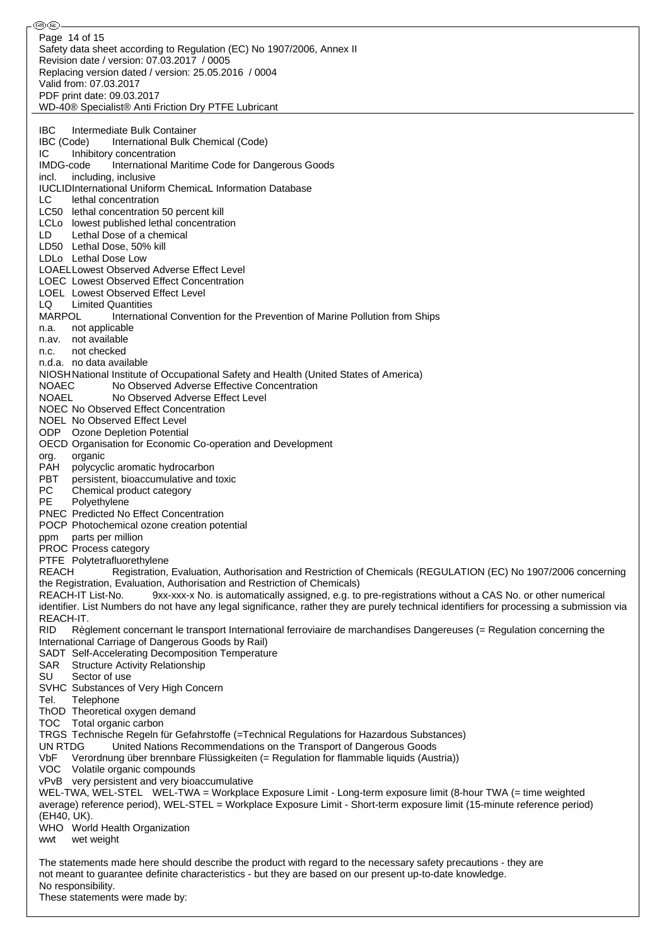⊛® Page 14 of 15Safety data sheet according to Regulation (EC) No 1907/2006, Annex II Revision date / version: 07.03.2017 / 0005 Replacing version dated / version: 25.05.2016 / 0004 Valid from: 07.03.2017 PDF print date: 09.03.2017 WD-40® Specialist® Anti Friction Dry PTFE Lubricant IBC Intermediate Bulk Container IBC (Code) International Bulk Chemical (Code) IC Inhibitory concentration<br>IMDG-code International M International Maritime Code for Dangerous Goods incl. including, inclusive IUCLIDInternational Uniform ChemicaL Information Database LC lethal concentration LC50 lethal concentration 50 percent kill LCLo lowest published lethal concentration LD Lethal Dose of a chemical LD50 Lethal Dose, 50% kill LDLo Lethal Dose Low LOAELLowest Observed Adverse Effect Level LOEC Lowest Observed Effect Concentration LOEL Lowest Observed Effect Level LQ Limited Quantities<br>MARPOL Internatio International Convention for the Prevention of Marine Pollution from Ships n.a. not applicable n.av. not available n.c. not checked n.d.a. no data available NIOSHNational Institute of Occupational Safety and Health (United States of America) NOAEC No Observed Adverse Effective Concentration NOAEL No Observed Adverse Effect Level NOEC No Observed Effect Concentration NOEL No Observed Effect Level ODP Ozone Depletion Potential OECD Organisation for Economic Co-operation and Development org. organic<br>PAH polycycl polycyclic aromatic hydrocarbon PBT persistent, bioaccumulative and toxic PC Chemical product category PE Polyethylene PNEC Predicted No Effect Concentration POCP Photochemical ozone creation potential ppm parts per million PROC Process category PTFE Polytetrafluorethylene REACH Registration, Evaluation, Authorisation and Restriction of Chemicals (REGULATION (EC) No 1907/2006 concerning the Registration, Evaluation, Authorisation and Restriction of Chemicals) REACH-IT List-No. 9xx-xxx-x No. is automatically assigned, e.g. to pre-registrations without a CAS No. or other numerical identifier. List Numbers do not have any legal significance, rather they are purely technical identifiers for processing a submission via REACH-IT. RID Règlement concernant le transport International ferroviaire de marchandises Dangereuses (= Regulation concerning the International Carriage of Dangerous Goods by Rail) SADT Self-Accelerating Decomposition Temperature SAR Structure Activity Relationship SU Sector of use SVHC Substances of Very High Concern Tel. Telephone ThOD Theoretical oxygen demand TOC Total organic carbon TRGS Technische Regeln für Gefahrstoffe (=Technical Regulations for Hazardous Substances) UN RTDG United Nations Recommendations on the Transport of Dangerous Goods<br>VbF Verordnung über brennbare Flüssigkeiten (= Regulation for flammable liquids (Aus Verordnung über brennbare Flüssigkeiten (= Regulation for flammable liquids (Austria)) VOC Volatile organic compounds vPvB very persistent and very bioaccumulative WEL-TWA, WEL-STEL WEL-TWA = Workplace Exposure Limit - Long-term exposure limit (8-hour TWA (= time weighted average) reference period), WEL-STEL = Workplace Exposure Limit - Short-term exposure limit (15-minute reference period) (EH40, UK). WHO World Health Organization wwt wet weight The statements made here should describe the product with regard to the necessary safety precautions - they are not meant to guarantee definite characteristics - but they are based on our present up-to-date knowledge. No responsibility.

These statements were made by: